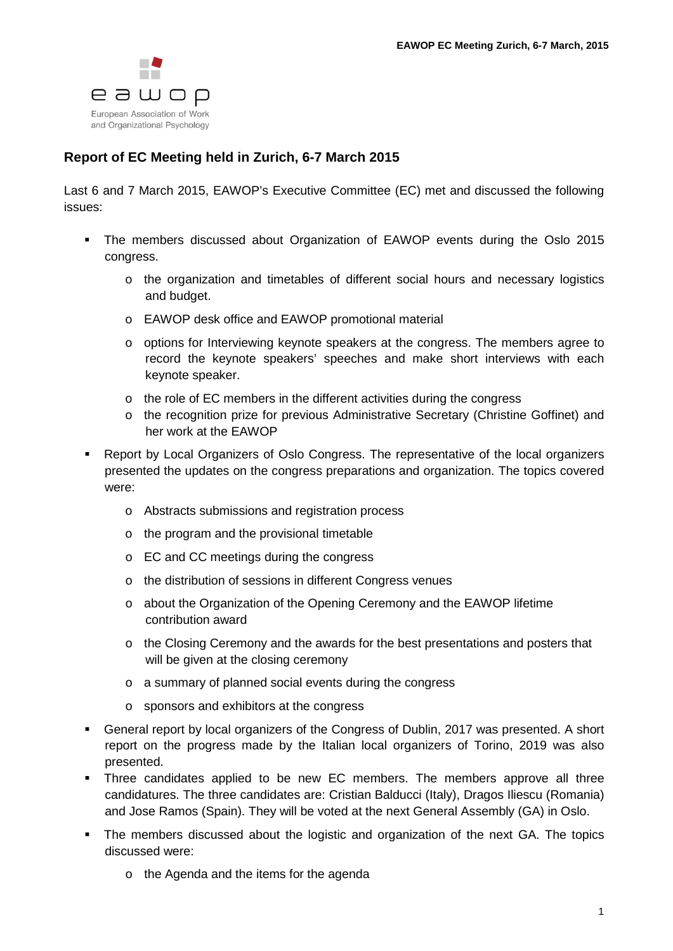

## **Report of EC Meeting held in Zurich, 6-7 March 2015**

Last 6 and 7 March 2015, EAWOP's Executive Committee (EC) met and discussed the following issues:

- The members discussed about Organization of EAWOP events during the Oslo 2015 congress.
	- o the organization and timetables of different social hours and necessary logistics and budget.
	- o EAWOP desk office and EAWOP promotional material
	- o options for Interviewing keynote speakers at the congress. The members agree to record the keynote speakers' speeches and make short interviews with each keynote speaker.
	- o the role of EC members in the different activities during the congress
	- o the recognition prize for previous Administrative Secretary (Christine Goffinet) and her work at the EAWOP
- Report by Local Organizers of Oslo Congress. The representative of the local organizers presented the updates on the congress preparations and organization. The topics covered were:
	- o Abstracts submissions and registration process
	- o the program and the provisional timetable
	- o EC and CC meetings during the congress
	- o the distribution of sessions in different Congress venues
	- o about the Organization of the Opening Ceremony and the EAWOP lifetime contribution award
	- $\circ$  the Closing Ceremony and the awards for the best presentations and posters that will be given at the closing ceremony
	- o a summary of planned social events during the congress
	- o sponsors and exhibitors at the congress
- General report by local organizers of the Congress of Dublin, 2017 was presented. A short report on the progress made by the Italian local organizers of Torino, 2019 was also presented.
- Three candidates applied to be new EC members. The members approve all three candidatures. The three candidates are: Cristian Balducci (Italy), Dragos Iliescu (Romania) and Jose Ramos (Spain). They will be voted at the next General Assembly (GA) in Oslo.
- The members discussed about the logistic and organization of the next GA. The topics discussed were:
	- o the Agenda and the items for the agenda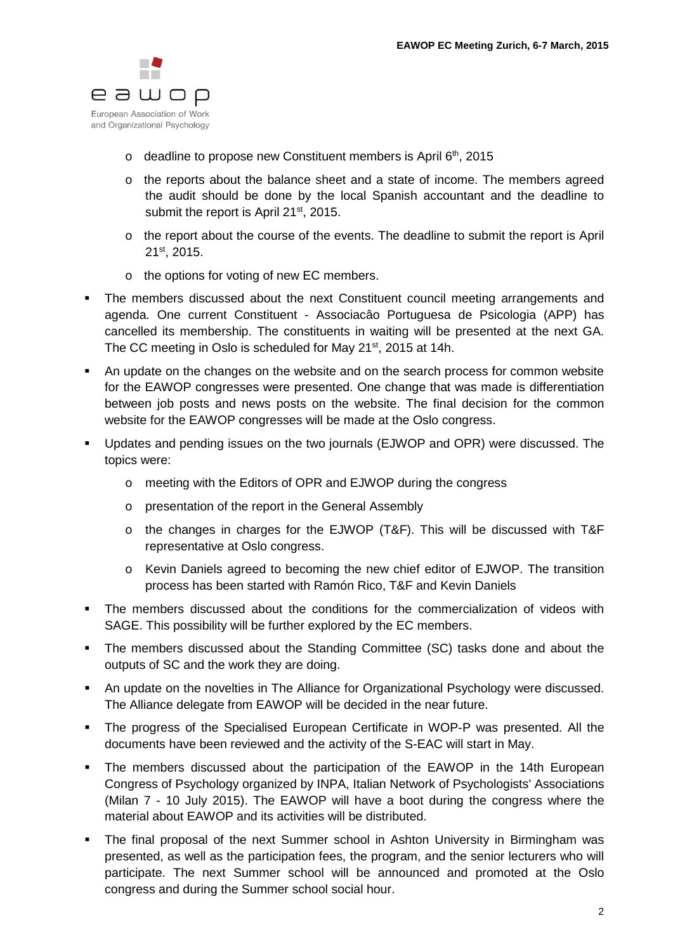

- $\circ$  deadline to propose new Constituent members is April 6<sup>th</sup>, 2015
- o the reports about the balance sheet and a state of income. The members agreed the audit should be done by the local Spanish accountant and the deadline to submit the report is April 21<sup>st</sup>, 2015.
- o the report about the course of the events. The deadline to submit the report is April 21st, 2015.
- o the options for voting of new EC members.
- The members discussed about the next Constituent council meeting arrangements and agenda. One current Constituent - Associacâo Portuguesa de Psicologia (APP) has cancelled its membership. The constituents in waiting will be presented at the next GA. The CC meeting in Oslo is scheduled for May 21<sup>st</sup>, 2015 at 14h.
- An update on the changes on the website and on the search process for common website for the EAWOP congresses were presented. One change that was made is differentiation between job posts and news posts on the website. The final decision for the common website for the EAWOP congresses will be made at the Oslo congress.
- Updates and pending issues on the two journals (EJWOP and OPR) were discussed. The topics were:
	- o meeting with the Editors of OPR and EJWOP during the congress
	- o presentation of the report in the General Assembly
	- o the changes in charges for the EJWOP (T&F). This will be discussed with T&F representative at Oslo congress.
	- o Kevin Daniels agreed to becoming the new chief editor of EJWOP. The transition process has been started with Ramón Rico, T&F and Kevin Daniels
- The members discussed about the conditions for the commercialization of videos with SAGE. This possibility will be further explored by the EC members.
- The members discussed about the Standing Committee (SC) tasks done and about the outputs of SC and the work they are doing.
- An update on the novelties in The Alliance for Organizational Psychology were discussed. The Alliance delegate from EAWOP will be decided in the near future.
- The progress of the Specialised European Certificate in WOP-P was presented. All the documents have been reviewed and the activity of the S-EAC will start in May.
- The members discussed about the participation of the EAWOP in the 14th European Congress of Psychology organized by INPA, Italian Network of Psychologists' Associations (Milan 7 - 10 July 2015). The EAWOP will have a boot during the congress where the material about EAWOP and its activities will be distributed.
- The final proposal of the next Summer school in Ashton University in Birmingham was presented, as well as the participation fees, the program, and the senior lecturers who will participate. The next Summer school will be announced and promoted at the Oslo congress and during the Summer school social hour.